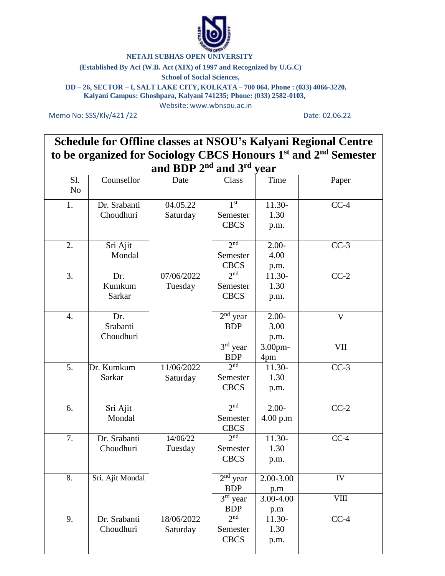

# **NETAJI SUBHAS OPEN UNIVERSITY**

### **(Established By Act (W.B. Act (XIX) of 1997 and Recognized by U.G.C)**

# **School of Social Sciences,**

**DD – 26, SECTOR – I, SALT LAKE CITY, KOLKATA – 700 064. Phone : (033) 4066-3220, Kalyani Campus: Ghoshpara, Kalyani 741235; Phone: (033) 2582-0103,**

Website: [www.wbnsou.ac.in](http://www.wbnsou.ac.in/)

Memo No: SSS/Kly/421 /22 Date: 02.06.22

**Schedule for Offline classes at NSOU's Kalyani Regional Centre to be organized for Sociology CBCS Honours 1 st and 2nd Semester and BDP 2nd and 3rd year**

|                       |                              | anu DDI <i>4</i>       | anu J                                                              | y vai                                |                     |
|-----------------------|------------------------------|------------------------|--------------------------------------------------------------------|--------------------------------------|---------------------|
| Sl.<br>N <sub>o</sub> | Counsellor                   | Date                   | Class                                                              | Time                                 | Paper               |
| 1.                    | Dr. Srabanti<br>Choudhuri    | 04.05.22<br>Saturday   | 1 <sup>st</sup><br>Semester<br><b>CBCS</b>                         | 11.30-<br>1.30<br>p.m.               | $CC-4$              |
| 2.                    | Sri Ajit<br>Mondal           |                        | 2 <sub>nd</sub><br>Semester<br><b>CBCS</b>                         | $2.00 -$<br>4.00<br>p.m.             | $CC-3$              |
| 3.                    | Dr.<br>Kumkum<br>Sarkar      | 07/06/2022<br>Tuesday  | 2 <sup>nd</sup><br>Semester<br><b>CBCS</b>                         | 11.30-<br>1.30<br>p.m.               | $CC-2$              |
| 4.                    | Dr.<br>Srabanti<br>Choudhuri |                        | $2nd$ year<br><b>BDP</b><br>$3rd$ year                             | $2.00 -$<br>3.00<br>p.m.<br>3.00pm-  | $\mathbf{V}$<br>VII |
|                       |                              |                        | <b>BDP</b>                                                         | 4pm                                  |                     |
| 5.                    | Dr. Kumkum<br>Sarkar         | 11/06/2022<br>Saturday | 2 <sub>n</sub><br>Semester<br><b>CBCS</b>                          | 11.30-<br>1.30<br>p.m.               | $CC-3$              |
| 6.                    | Sri Ajit<br>Mondal           |                        | 2 <sub>nd</sub><br>Semester<br><b>CBCS</b>                         | $2.00 -$<br>4.00 p.m                 | $CC-2$              |
| 7.                    | Dr. Srabanti<br>Choudhuri    | 14/06/22<br>Tuesday    | 2 <sub>nd</sub><br>Semester<br><b>CBCS</b>                         | 11.30-<br>1.30<br>p.m.               | $CC-4$              |
| 8.                    | Sri. Ajit Mondal             |                        | $2nd$ year<br><b>BDP</b><br>$\overline{3^{rd}}$ year<br><b>BDP</b> | 2.00-3.00<br>p.m<br>3.00-4.00<br>p.m | IV<br>VIII          |
| 9.                    | Dr. Srabanti<br>Choudhuri    | 18/06/2022<br>Saturday | 2 <sub>nd</sub><br>Semester<br><b>CBCS</b>                         | 11.30-<br>1.30<br>p.m.               | $CC-4$              |